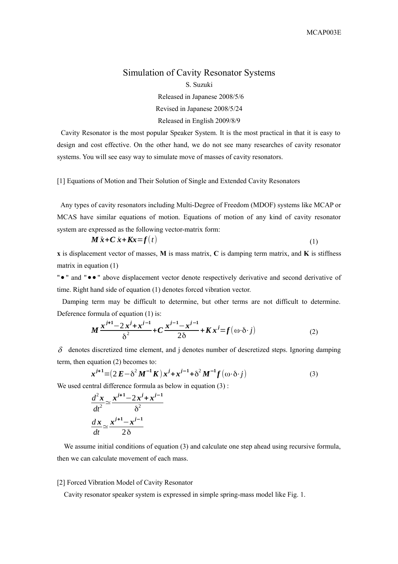## Simulation of Cavity Resonator Systems S. Suzuki

Released in Japanese 2008/5/6 Revised in Japanese 2008/5/24 Released in English 2009/8/9

Cavity Resonator is the most popular Speaker System. It is the most practical in that it is easy to design and cost effective. On the other hand, we do not see many researches of cavity resonator systems. You will see easy way to simulate move of masses of cavity resonators.

[1] Equations of Motion and Their Solution of Single and Extended Cavity Resonators

Any types of cavity resonators including Multi-Degree of Freedom (MDOF) systems like MCAP or MCAS have similar equations of motion. Equations of motion of any kind of cavity resonator system are expressed as the following vector-matrix form:

$$
\mathbf{M}\ddot{\mathbf{x}} + \mathbf{C}\dot{\mathbf{x}} + \mathbf{K}\mathbf{x} = \mathbf{f}(t) \tag{1}
$$

**x** is displacement vector of masses, **M** is mass matrix, **C** is damping term matrix, and **K** is stiffness matrix in equation (1)

" • " and " • • " above displacement vector denote respectively derivative and second derivative of time. Right hand side of equation (1) denotes forced vibration vector.

Damping term may be difficult to determine, but other terms are not difficult to determine. Deference formula of equation (1) is:

$$
M \frac{x^{j+1} - 2x^j + x^{j-1}}{\delta^2} + C \frac{x^{j-1} - x^{j-1}}{2\delta} + Kx^j = f(\omega \cdot \delta \cdot j)
$$
 (2)

 $\delta$  denotes discretized time element, and j denotes number of descretized steps. Ignoring damping term, then equation (2) becomes to:

$$
\mathbf{x}^{j+1} = (2 \mathbf{E} - \delta^2 \mathbf{M}^{-1} \mathbf{K}) \mathbf{x}^j + \mathbf{x}^{j-1} + \delta^2 \mathbf{M}^{-1} \mathbf{f}(\omega \cdot \delta \cdot j)
$$
(3)

We used central difference formula as below in equation  $(3)$ :

$$
\frac{d^2x}{dt^2} \approx \frac{x^{j+1} - 2x^j + x^{j-1}}{\delta^2}
$$

$$
\frac{dx}{dt} \approx \frac{x^{j+1} - x^{j-1}}{2\delta}
$$

We assume initial conditions of equation (3) and calculate one step ahead using recursive formula, then we can calculate movement of each mass.

## [2] Forced Vibration Model of Cavity Resonator

Cavity resonator speaker system is expressed in simple spring-mass model like Fig. 1.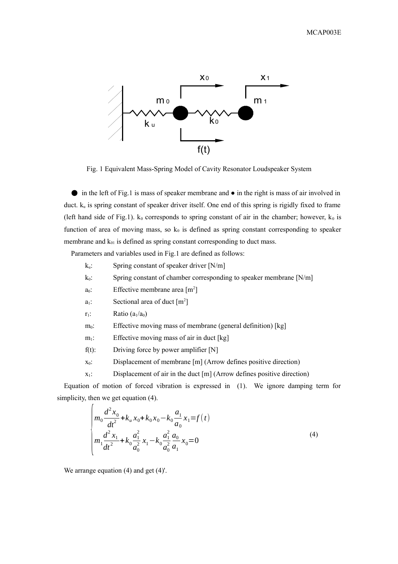

Fig. 1 Equivalent Mass-Spring Model of Cavity Resonator Loudspeaker System

● in the left of Fig.1 is mass of speaker membrane and ● in the right is mass of air involved in duct. ku is spring constant of speaker driver itself. One end of this spring is rigidly fixed to frame (left hand side of Fig.1).  $k_0$  corresponds to spring constant of air in the chamber; however,  $k_0$  is function of area of moving mass, so  $k_0$  is defined as spring constant corresponding to speaker membrane and  $k_{01}$  is defined as spring constant corresponding to duct mass.

Parameters and variables used in Fig.1 are defined as follows:

- $k_u$ : Spring constant of speaker driver [N/m]
- $k_0$ : Spring constant of chamber corresponding to speaker membrane [N/m]
- $a_0$ : Effective membrane area  $[m^2]$
- $a_1$ : Sectional area of duct  $[m^2]$
- $r_1$ : Ratio  $(a_1/a_0)$
- m<sub>0</sub>: Effective moving mass of membrane (general definition) [kg]
- $m_1$ : Effective moving mass of air in duct [kg]
- $f(t)$ : Driving force by power amplifier [N]
- $x_0$ : Displacement of membrane [m] (Arrow defines positive direction)
- $x_1$ : Displacement of air in the duct  $[m]$  (Arrow defines positive direction)

Equation of motion of forced vibration is expressed in (1). We ignore damping term for simplicity, then we get equation  $(4)$ .

$$
\begin{cases}\nm_0 \frac{d^2 x_0}{dt^2} + k_u x_0 + k_0 x_0 - k_0 \frac{a_1}{a_0} x_1 = f(t) \\
m_1 \frac{d^2 x_1}{dt^2} + k_0 \frac{a_1^2}{a_0^2} x_1 - k_0 \frac{a_1^2}{a_0^2} \frac{a_0}{a_1} x_0 = 0\n\end{cases}
$$
\n(4)

We arrange equation (4) and get (4)'.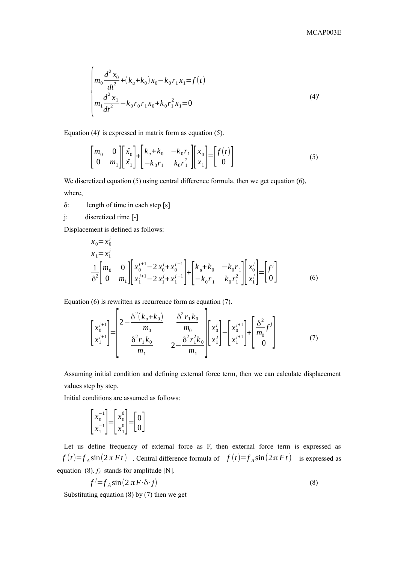$$
\begin{cases}\nm_0 \frac{d^2 x_0}{dt^2} + (k_u + k_0) x_0 - k_0 r_1 x_1 = f(t) \\
m_1 \frac{d^2 x_1}{dt^2} - k_0 r_0 r_1 x_0 + k_0 r_1^2 x_1 = 0\n\end{cases}
$$
\n(4)

Equation (4)' is expressed in matrix form as equation (5).

$$
\begin{bmatrix} m_0 & 0 \\ 0 & m_1 \end{bmatrix} \begin{bmatrix} \ddot{x}_0 \\ \ddot{x}_1 \end{bmatrix} + \begin{bmatrix} k_u + k_0 & -k_0 r_1 \\ -k_0 r_1 & k_0 r_1^2 \end{bmatrix} \begin{bmatrix} x_0 \\ x_1 \end{bmatrix} = \begin{bmatrix} f(t) \\ 0 \end{bmatrix}
$$
 (5)

We discretized equation (5) using central difference formula, then we get equation (6), where,

 $\delta$ : length of time in each step [s]

j: discretized time [-]

Displacement is defined as follows:

$$
x_0 = x_0^j
$$
  
\n
$$
x_1 = x_1^j
$$
  
\n
$$
\frac{1}{\delta^2} \begin{bmatrix} m_0 & 0 \\ 0 & m_1 \end{bmatrix} \begin{bmatrix} x_0^{j+1} - 2x_0^j + x_0^{j-1} \\ x_1^{j+1} - 2x_1^j + x_1^{j-1} \end{bmatrix} + \begin{bmatrix} k_u + k_0 & -k_0 r_1 \\ -k_0 r_1 & k_0 r_1^2 \end{bmatrix} \begin{bmatrix} x_0^j \\ x_1^j \end{bmatrix} = \begin{bmatrix} f^j \\ 0 \end{bmatrix}
$$
 (6)

Equation (6) is rewritten as recurrence form as equation (7).

$$
\begin{bmatrix} x_0^{j+1} \\ x_1^{j+1} \end{bmatrix} = \begin{bmatrix} 2 - \frac{\delta^2 (k_u + k_0)}{m_0} & \frac{\delta^2 r_1 k_0}{m_0} \\ \frac{\delta^2 r_1 k_0}{m_1} & 2 - \frac{\delta^2 r_1^2 k_0}{m_1} \end{bmatrix} \begin{bmatrix} x_0^j \\ x_1^j \end{bmatrix} - \begin{bmatrix} x_0^{j+1} \\ x_1^{j+1} \end{bmatrix} + \begin{bmatrix} \frac{\delta^2}{m_0} f^j \\ 0 \end{bmatrix}
$$
(7)

Assuming initial condition and defining external force term, then we can calculate displacement values step by step.

Initial conditions are assumed as follows:

$$
\begin{bmatrix} x_0^{-1} \\ x_1^{-1} \end{bmatrix} = \begin{bmatrix} x_0^0 \\ x_1^0 \end{bmatrix} = \begin{bmatrix} 0 \\ 0 \end{bmatrix}
$$

Let us define frequency of external force as F, then external force term is expressed as  $f(t)=f_A \sin(2\pi Ft)$  . Central difference formula of  $f(t)=f_A \sin(2\pi Ft)$  is expressed as equation (8). *fA* stands for amplitude [N].

$$
f^j = f_A \sin(2\pi F \cdot \delta \cdot j) \tag{8}
$$

Substituting equation (8) by (7) then we get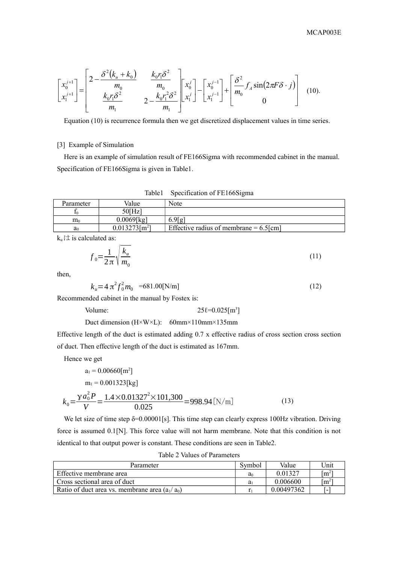$$
\begin{bmatrix} x_0^{j+1} \\ x_1^{j+1} \end{bmatrix} = \begin{bmatrix} 2 - \frac{\delta^2 (k_u + k_0)}{m_0} & \frac{k_0 r_1 \delta^2}{m_0} \\ \frac{k_0 r_1 \delta^2}{m_1} & 2 - \frac{k_0 r_1^2 \delta^2}{m_1} \end{bmatrix} \begin{bmatrix} x_0^j \\ x_1^j \end{bmatrix} - \begin{bmatrix} x_0^{j-1} \\ x_1^{j-1} \end{bmatrix} + \begin{bmatrix} \frac{\delta^2}{m_0} f_A \sin(2\pi F \delta \cdot j) \\ 0 & 0 \end{bmatrix}
$$
 (10).

Equation (10) is recurrence formula then we get discretized displacement values in time series.

## [3] Example of Simulation

Here is an example of simulation result of FE166Sigma with recommended cabinet in the manual. Specification of FE166Sigma is given in Table1.

|                | Table1                       | Specification of FE166Sigma               |
|----------------|------------------------------|-------------------------------------------|
| Parameter      | Value                        | Note                                      |
|                | $50$ [Hz]                    |                                           |
| m <sub>0</sub> | $0.0069$ [kg]                | 6.9[g]                                    |
| a <sub>0</sub> | $0.013273$ [m <sup>2</sup> ] | Effective radius of membrane = $6.5$ [cm] |

 $k_u \, / \, \downarrow$  is calculated as:

$$
f_0 = \frac{1}{2\pi} \sqrt{\frac{k_u}{m_0}}\tag{11}
$$

then,

 $k_u = 4 \pi^2 f_0^2 m_0$  =681.00[N/m] (12)

Recommended cabinet in the manual by Fostex is:

Volume:  $25\ell = 0.025[m^3]$ 

Duct dimension (H×W×L): 60mm×110mm×135mm

Effective length of the duct is estimated adding 0.7 x effective radius of cross section cross section of duct. Then effective length of the duct is estimated as 167mm.

Hence we get

$$
a_1 = 0.00660 \text{ [m}^2\text{]}
$$
  
\n
$$
m_1 = 0.001323 \text{ [kg]}
$$
  
\n
$$
k_0 = \frac{\gamma a_0^2 P}{V} = \frac{1.4 \times 0.01327^2 \times 101,300}{0.025} = 998.94 \text{ [N/m]}
$$
 (13)

We let size of time step δ=0.00001[s]. This time step can clearly express 100Hz vibration. Driving force is assumed 0.1[N]. This force value will not harm membrane. Note that this condition is not identical to that output power is constant. These conditions are seen in Table2.

|  |  | Table 2 Values of Parameters |
|--|--|------------------------------|
|--|--|------------------------------|

| Parameter                                        | Symbol | Value      | 'Jnit               |
|--------------------------------------------------|--------|------------|---------------------|
| Effective membrane area                          | $a_0$  | 0.01327    | $\lceil m^2 \rceil$ |
| Cross sectional area of duct                     | a      | 0.006600   | $\lceil m^2 \rceil$ |
| Ratio of duct area vs. membrane area $(a_1/a_0)$ |        | 0.00497362 |                     |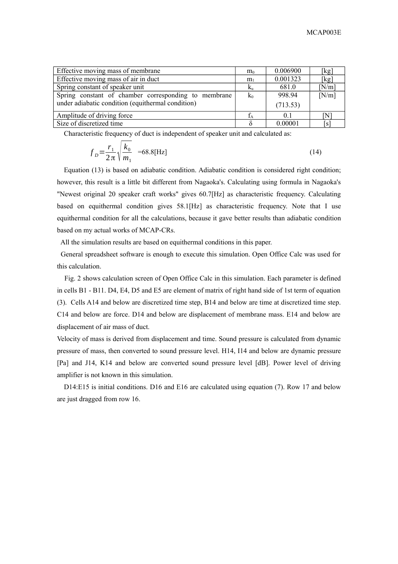| Effective moving mass of membrane                    | $m_0$          | 0.006900 | [kg]  |
|------------------------------------------------------|----------------|----------|-------|
| Effective moving mass of air in duct                 | m <sub>1</sub> | 0.001323 | [kg]  |
| Spring constant of speaker unit                      | $K_{\rm u}$    | 681.0    | N/m   |
| Spring constant of chamber corresponding to membrane | $k_0$          | 998.94   | [N/m] |
| under adiabatic condition (equithermal condition)    |                | (713.53) |       |
| Amplitude of driving force                           |                | 0.1      | ΓN    |
| Size of discretized time                             |                | 0.00001  | l S   |

Characteristic frequency of duct is independent of speaker unit and calculated as:

$$
f_D = \frac{r_1}{2\pi} \sqrt{\frac{k_0}{m_1}} = 68.8 \text{ [Hz]}
$$
 (14)

Equation (13) is based on adiabatic condition. Adiabatic condition is considered right condition; however, this result is a little bit different from Nagaoka's. Calculating using formula in Nagaoka's "Newest original 20 speaker craft works" gives 60.7[Hz] as characteristic frequency. Calculating based on equithermal condition gives 58.1[Hz] as characteristic frequency. Note that I use equithermal condition for all the calculations, because it gave better results than adiabatic condition based on my actual works of MCAP-CRs.

All the simulation results are based on equithermal conditions in this paper.

General spreadsheet software is enough to execute this simulation. Open Office Calc was used for this calculation.

 Fig. 2 shows calculation screen of Open Office Calc in this simulation. Each parameter is defined in cells B1 - B11. D4, E4, D5 and E5 are element of matrix of right hand side of 1st term of equation (3). Cells A14 and below are discretized time step, B14 and below are time at discretized time step. C14 and below are force. D14 and below are displacement of membrane mass. E14 and below are displacement of air mass of duct.

Velocity of mass is derived from displacement and time. Sound pressure is calculated from dynamic pressure of mass, then converted to sound pressure level. H14, I14 and below are dynamic pressure [Pa] and J14, K14 and below are converted sound pressure level [dB]. Power level of driving amplifier is not known in this simulation.

D14:E15 is initial conditions. D16 and E16 are calculated using equation (7). Row 17 and below are just dragged from row 16.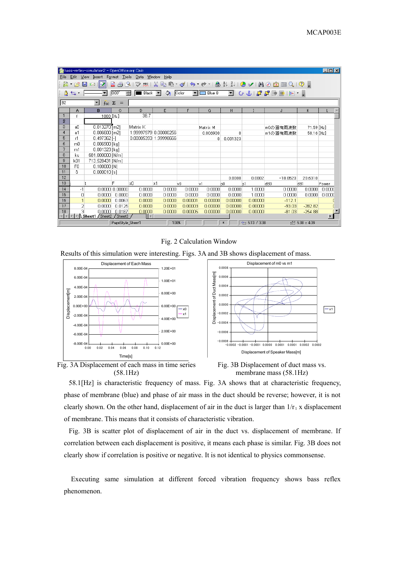|                                                                                                                                     | $\Box$ o $\Box$<br>bass-reflex-simulation2 - OpenOffice.org Calc |                  |                  |                       |        |         |          |                |                 |            |                  |        |
|-------------------------------------------------------------------------------------------------------------------------------------|------------------------------------------------------------------|------------------|------------------|-----------------------|--------|---------|----------|----------------|-----------------|------------|------------------|--------|
| File                                                                                                                                | Edit View Insert Format Tools Data Window<br>Help                |                  |                  |                       |        |         |          |                |                 |            |                  |        |
| ツッ!※「自己・ダ!ち・さ~」品製料!0ソ!出の向面Q!♡!<br>∐k∎res⊞r⊠<br>egri                                                                                 |                                                                  |                  |                  |                       |        |         |          |                |                 |            |                  |        |
| $\Diamond$ Color<br>■●『日日日』です<br>$\blacksquare$ Black $\blacktriangledown$<br>$\blacksquare$ Blue 8<br>0.00''<br>$\frac{1}{2}$<br>一 |                                                                  |                  |                  |                       |        |         |          |                |                 |            |                  |        |
| B <sub>2</sub>                                                                                                                      | ▾<br>$f(x)$ $\Sigma$<br>$=$                                      |                  |                  |                       |        |         |          |                |                 |            |                  |        |
|                                                                                                                                     | Α                                                                | B                | C                | D.                    | E      | F       | G        | н              |                 | J          | κ                |        |
|                                                                                                                                     |                                                                  | 1000 [Hz]        |                  | 38.7                  |        |         |          |                |                 |            |                  |        |
| $\overline{2}$                                                                                                                      |                                                                  |                  |                  |                       |        |         |          |                |                 |            |                  |        |
| 3                                                                                                                                   | aO                                                               | $0.013270$ [m2]  |                  | Matrix K              |        |         | Matrix M |                |                 | m0の固有周波数   | 71.59 [Hz]       |        |
| 4                                                                                                                                   | a1                                                               | $0.006600$ [m2]  |                  | 1.99997979 0.00000256 |        |         | 0.006900 | n              |                 | m1の固有周波数   | 58.16 [Hz]       |        |
| 5                                                                                                                                   | r1                                                               | $0.497362$ [-]   |                  | 0.00005393 1.99998666 |        |         | 0        | 0.001323       |                 |            |                  |        |
| 6                                                                                                                                   | m <sub>0</sub>                                                   | $0.006900$ [kg]  |                  |                       |        |         |          |                |                 |            |                  |        |
| $\overline{7}$                                                                                                                      | m1                                                               | 0.001323 [kg]    |                  |                       |        |         |          |                |                 |            |                  |        |
| 8                                                                                                                                   | ku                                                               | 681.000000 [N/m] |                  |                       |        |         |          |                |                 |            |                  |        |
| 9                                                                                                                                   | kO1                                                              | 713.528431 [N/m] |                  |                       |        |         |          |                |                 |            |                  |        |
| 10                                                                                                                                  | F <sub>0</sub>                                                   | 0.100000 N       |                  |                       |        |         |          |                |                 |            |                  |        |
| 11                                                                                                                                  | δ                                                                | $0.000010$ [s]   |                  |                       |        |         |          |                |                 |            |                  |        |
| 12                                                                                                                                  |                                                                  |                  |                  |                       |        |         |          | 0.0000         | 0.0002          | $-18.0523$ | 20.6310          |        |
| 13                                                                                                                                  |                                                                  |                  | F                | xΟ                    | x1     | v0      | v1       | <sub>D</sub> O | þ1              | dB0        | dB1              | Power  |
| 14                                                                                                                                  | $-1$                                                             |                  |                  | 0.0000                | 0.0000 | 0.0000  | 0.0000   | 0.0000         | 1.0000          | 0.0000     | 0.0000           | 0.0000 |
| 15                                                                                                                                  | $\Omega$                                                         | 0.0000           | 0.0000           | 0.0000                | 0.0000 | 0.0000  | 0.0000   | 0.0000         | 1.0000          | 0.0000     | 0.0000           | 0.0000 |
| 16                                                                                                                                  |                                                                  | 0.0000           | 0.0063           | 0.0000                | 0.0000 | 0.00001 | 0.00000  | 0.00000        | 0.00000         | $-112.1$   |                  |        |
| 17                                                                                                                                  | 2                                                                | 0.0000           | 0.0125           | 0.0000                | 0.0000 | 0.00003 | 0.00000  | 0.00000        | 0.00000         | $-93.03$   | $-282.82$        |        |
| 18                                                                                                                                  | я                                                                | 0.0000           | 0.0187           | 0.0000                | 0.0000 | 0.00005 | 0.00000  | 0.00000        | 0.00000         | $-81.03$   | $-254.88$        |        |
| $\blacksquare$<br><b>E</b> Sheet1 <i>(Sheet2</i><br>$\sqrt{\frac{1}{2}}$ Sheet3<br>Нэ                                               |                                                                  |                  |                  |                       |        |         |          |                |                 |            |                  |        |
|                                                                                                                                     |                                                                  |                  | PageStyle Sheet1 |                       | 100%   |         |          | $*$            | $+ 5.13 / 3.38$ |            | sf-1 5.38 x 4.09 |        |

Fig. 2 Calculation Window

Results of this simulation were interesting. Figs. 3A and 3B shows displacement of mass.







Fig. 3B Displacement of duct mass vs. membrane mass (58.1Hz)

58.1[Hz] is characteristic frequency of mass. Fig. 3A shows that at characteristic frequency, phase of membrane (blue) and phase of air mass in the duct should be reverse; however, it is not clearly shown. On the other hand, displacement of air in the duct is larger than  $1/r_1$  x displacement of membrane. This means that it consists of characteristic vibration.

Fig. 3B is scatter plot of displacement of air in the duct vs. displacement of membrane. If correlation between each displacement is positive, it means each phase is similar. Fig. 3B does not clearly show if correlation is positive or negative. It is not identical to physics commonsense.

Executing same simulation at different forced vibration frequency shows bass reflex phenomenon.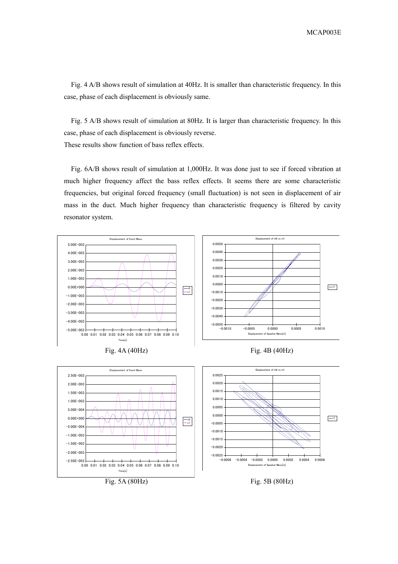MCAP003E

Fig. 4 A/B shows result of simulation at 40Hz. It is smaller than characteristic frequency. In this case, phase of each displacement is obviously same.

Fig. 5 A/B shows result of simulation at 80Hz. It is larger than characteristic frequency. In this case, phase of each displacement is obviously reverse. These results show function of bass reflex effects.

Fig. 6A/B shows result of simulation at 1,000Hz. It was done just to see if forced vibration at much higher frequency affect the bass reflex effects. It seems there are some characteristic frequencies, but original forced frequency (small fluctuation) is not seen in displacement of air mass in the duct. Much higher frequency than characteristic frequency is filtered by cavity resonator system.

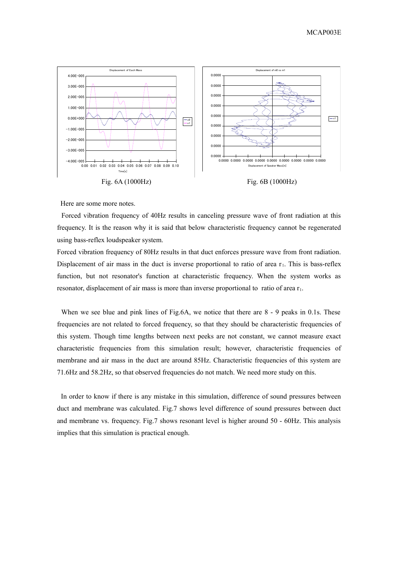

Here are some more notes.

Forced vibration frequency of 40Hz results in canceling pressure wave of front radiation at this frequency. It is the reason why it is said that below characteristic frequency cannot be regenerated using bass-reflex loudspeaker system.

Forced vibration frequency of 80Hz results in that duct enforces pressure wave from front radiation. Displacement of air mass in the duct is inverse proportional to ratio of area  $r_1$ . This is bass-reflex function, but not resonator's function at characteristic frequency. When the system works as resonator, displacement of air mass is more than inverse proportional to ratio of area  $r_1$ .

When we see blue and pink lines of Fig.6A, we notice that there are 8 - 9 peaks in 0.1s. These frequencies are not related to forced frequency, so that they should be characteristic frequencies of this system. Though time lengths between next peeks are not constant, we cannot measure exact characteristic frequencies from this simulation result; however, characteristic frequencies of membrane and air mass in the duct are around 85Hz. Characteristic frequencies of this system are 71.6Hz and 58.2Hz, so that observed frequencies do not match. We need more study on this.

In order to know if there is any mistake in this simulation, difference of sound pressures between duct and membrane was calculated. Fig.7 shows level difference of sound pressures between duct and membrane vs. frequency. Fig.7 shows resonant level is higher around 50 - 60Hz. This analysis implies that this simulation is practical enough.